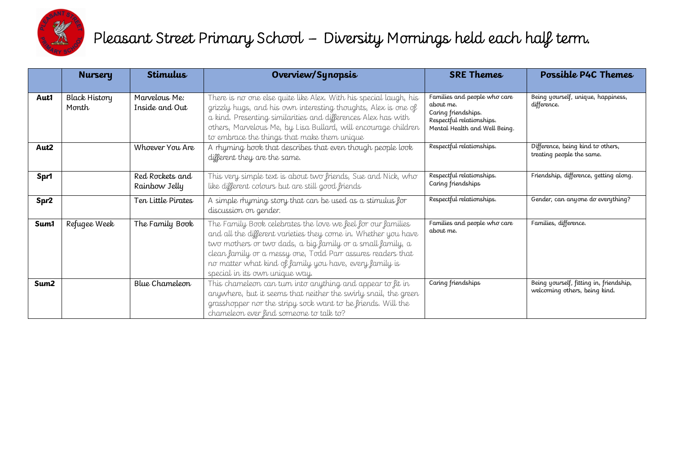

|                  | <b>Nursery</b>                | <b>Stimulus</b>                  | Overview/Synopsis                                                                                                                                                                                                                                                                                                                                        | <b>SRE Themes</b>                                                                                                              | Possible P4C Themes                                                      |
|------------------|-------------------------------|----------------------------------|----------------------------------------------------------------------------------------------------------------------------------------------------------------------------------------------------------------------------------------------------------------------------------------------------------------------------------------------------------|--------------------------------------------------------------------------------------------------------------------------------|--------------------------------------------------------------------------|
| Aut1             | <b>Black History</b><br>Month | Marvelous Me:<br>Inside and Out  | There is no one else quite like Alex. With his special laugh, his<br>grizzly hugs, and his own interesting thoughts, Alex is one of<br>a kind. Presenting similarities and differences Alex has with<br>others, Marvelous Me, by Lisa Bullard, will encourage children<br>to embrace the things that make them unique                                    | Families and people who care<br>about me.<br>Caring friendships.<br>Respectful relationships.<br>Mental Health and Well Being. | Being yourself, unique, happiness,<br>difference.                        |
| Aut <sub>2</sub> |                               | Whoever You Are                  | A rhyming book that describes that even though people look<br>different they are the same.                                                                                                                                                                                                                                                               | Respectful relationships.                                                                                                      | Difference, being kind to others,<br>treating people the same.           |
| Spr1             |                               | Red Rockets and<br>Rainbow Jelly | This very simple text is about two friends, Sue and Nick, who<br>like different colours but are still good friends                                                                                                                                                                                                                                       | Respectful relationships.<br>Caring friendships                                                                                | Friendship, difference, getting along.                                   |
| Spr2             |                               | Ten Little Pirates               | A simple rhyming story that can be used as a stimulus for<br>discussion on gender.                                                                                                                                                                                                                                                                       | Respectful relationships.                                                                                                      | Gender, can anyone do everything?                                        |
| <b>Sum1</b>      | Refugee Week                  | The Family Book                  | The Family Book celebrates the love we feel for our families<br>and all the different varieties they come in. Whether you have<br>two mothers or two dads, a big family or a small family, a<br>clean family or a messy one, Todd Parr assures readers that<br>no matter what kind of family you have, every family is<br>special in its own unique way. | Families and people who care<br>about me.                                                                                      | Families, difference.                                                    |
| Sum <sub>2</sub> |                               | Blue Chameleon                   | This chameleon can turn into anything and appear to fit in<br>anywhere, but it seems that neither the swirly snail, the green<br>grasshopper nor the stripy sock want to be friends. Will the<br>chameleon ever find someone to talk to?                                                                                                                 | Caring friendships                                                                                                             | Being yourself, fitting in, friendship,<br>welcoming others, being kind. |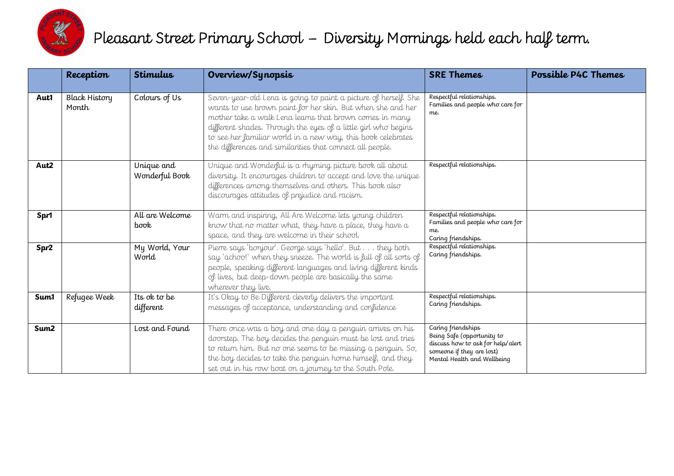

|                  | Reception                     | <b>Stimulus</b>                | Overview/Synopsis                                                                                                                                                                                                                                                                                                                                                                        | <b>SRE Themes</b>                                                                                                                                 | Possible P4C Themes |
|------------------|-------------------------------|--------------------------------|------------------------------------------------------------------------------------------------------------------------------------------------------------------------------------------------------------------------------------------------------------------------------------------------------------------------------------------------------------------------------------------|---------------------------------------------------------------------------------------------------------------------------------------------------|---------------------|
| Aut1             | <b>Black History</b><br>Month | Colours of Us                  | Seven-year-old Lena is going to paint a picture of herself. She<br>wants to use brown paint for her skin. But when she and her<br>mother take a walk Lena learns that brown comes in many<br>different shades. Through the eyes of a little girl who begins<br>to see her familiar world in a new way, this book celebrates<br>the differences and similarities that connect all people. | Respectful relationships.<br>Families and people who care for<br>me.                                                                              |                     |
| Aut <sub>2</sub> |                               | Unique and<br>Wonderful Book   | Unique and Wonderful is a rhyming picture book all about<br>diversity. It encourages children to accept and love the unique<br>differences among themselves and others. This book also<br>discourages attitudes of prejudice and racism.                                                                                                                                                 | Respectful relationships.                                                                                                                         |                     |
| Spr1             |                               | All are Welcome<br><b>book</b> | Warm and inspiring, All Are Welcome lets young children<br>know that no matter what, they have a place, they have a<br>space, and they are welcome in their school.                                                                                                                                                                                                                      | Respectful relationships.<br>Families and people who care for<br>me.<br>Caring friendships.                                                       |                     |
| Spr2             |                               | My World, Your<br>World        | Pierre says 'bonjour'. George says 'hello'. But they both<br>say 'achoo!' when they sneeze. The world is full of all sorts of<br>people, speaking different languages and living different kinds<br>of lives, but deep-down people are basically the same<br>wherever they live.                                                                                                         | Respectful relationships.<br>Caring friendships.                                                                                                  |                     |
| <b>Sum1</b>      | Refugee Week                  | Its ok to be<br>different      | It's Okay to Be Different cleverly delivers the important<br>messages of acceptance, understanding and confidence                                                                                                                                                                                                                                                                        | Respectful relationships.<br>Caring friendships.                                                                                                  |                     |
| Sum <sub>2</sub> |                               | Lost and Found                 | There once was a boy and one day a penguin arrives on his<br>doorstep. The boy decides the penguin must be lost and tries<br>to return him. But no one seems to be missing a penguin. So,<br>the boy decides to take the penguin home himself, and they<br>set out in his row boat on a journey to the South Pole.                                                                       | Caring friendships<br>Being Safe (opportunity to<br>discuss how to ask for help/alert<br>someone if they are lost)<br>Mental Health and Wellbeing |                     |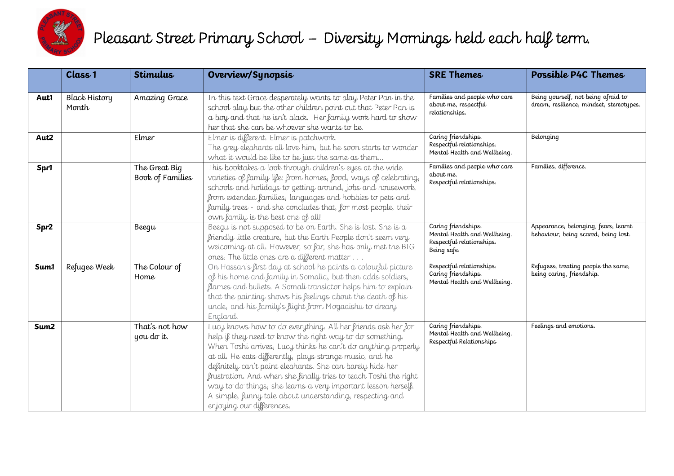

|                  | Class <sub>1</sub>            | <b>Stimulus</b>                   | Overview/Synopsis                                                                                                                                                                                                                                                                                                                                                                                                                                                                                                                                | <b>SRE Themes</b>                                                                               | Possible P4C Themes                                                             |
|------------------|-------------------------------|-----------------------------------|--------------------------------------------------------------------------------------------------------------------------------------------------------------------------------------------------------------------------------------------------------------------------------------------------------------------------------------------------------------------------------------------------------------------------------------------------------------------------------------------------------------------------------------------------|-------------------------------------------------------------------------------------------------|---------------------------------------------------------------------------------|
| <b>Aut1</b>      | <b>Black History</b><br>Month | Amazing Grace                     | In this text Grace desperately wants to play Peter Pan in the<br>school play but the other children point out that Peter Pan is<br>a boy and that he isn't black. Her family work hard to show<br>her that she can be whoever she wants to be.                                                                                                                                                                                                                                                                                                   | Families and people who care<br>about me, respectful<br>relationships.                          | Being yourself, not being afraid to<br>dream, resilience, mindset, stereotypes. |
| Aut <sub>2</sub> |                               | Elmer                             | Elmer is different. Elmer is patchwork.<br>The grey elephants all love him, but he soon starts to wonder<br>what it would be like to be just the same as them                                                                                                                                                                                                                                                                                                                                                                                    | Caring friendships.<br>Respectful relationships.<br>Mental Health and Wellbeing.                | Belonging                                                                       |
| Spr1             |                               | The Great Big<br>Book of Families | This booktakes a look through children's eyes at the wide<br>varieties of family life: from homes, food, ways of celebrating,<br>schools and holidays to getting around, jobs and housework,<br>from extended families, languages and hobbies to pets and<br>family trees - and she concludes that, for most people, their<br>own family is the best one of all!                                                                                                                                                                                 | Families and people who care<br>about me.<br>Respectful relationships.                          | Families, difference.                                                           |
| Spr2             |                               | Beegu                             | Beegu is not supposed to be on Earth. She is lost. She is a<br>friendly little creature, but the Earth People don't seem very<br>welcoming at all. However, so far, she has only met the BIG<br>ones. The little ones are a different matter                                                                                                                                                                                                                                                                                                     | Caring friendships.<br>Mental Health and Wellbeing.<br>Respectful relationships.<br>Being safe. | Appearance, belonging, fears, learnt<br>behaviour, being scared, being lost.    |
| Sum1             | Refugee Week                  | The Colour of<br>Home             | On Hassan's first day at school he paints a colourful picture<br>of his home and family in Somalia, but then adds soldiers,<br>flames and bullets. A Somali translator helps him to explain<br>that the painting shows his feelings about the death of his<br>uncle, and his family's flight from Mogadishu to dreary<br>England.                                                                                                                                                                                                                | Respectful relationships.<br>Caring friendships.<br>Mental Health and Wellbeing.                | Refugees, treating people the same,<br>being caring, friendship.                |
| Sum <sub>2</sub> |                               | That's not how<br>you do it.      | Lucy knows how to do everything. All her friends ask her for<br>help if they need to know the right way to do something.<br>When Toshi arrives, Lucy thinks he can't do anything properly<br>at all. He eats differently, plays strange music, and he<br>definitely can't paint elephants. She can barely hide her<br>frustration. And when she finally tries to teach Toshi the right<br>way to do things, she learns a very important lesson herself.<br>A simple, funny tale about understanding, respecting and<br>enjoying our differences. | Caring friendships.<br>Mental Health and Wellbeing.<br>Respectful Relationships                 | Feelings and emotions.                                                          |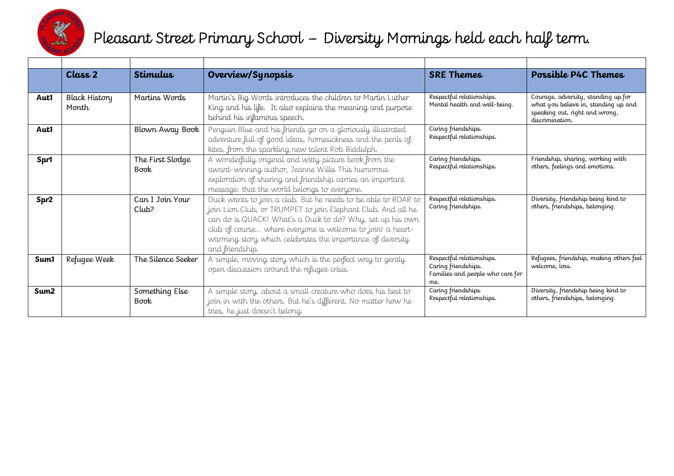

|                  | Class <sub>2</sub>   | <b>Stimulus</b>    | Overview/Synopsis                                             | <b>SRE Themes</b>                                       | Possible P4C Themes                                                    |
|------------------|----------------------|--------------------|---------------------------------------------------------------|---------------------------------------------------------|------------------------------------------------------------------------|
|                  |                      |                    |                                                               |                                                         |                                                                        |
| Aut1             | <b>Black History</b> | Martins Words      | Martin's Big Words introduces the children to Martin Luther   | Respectful relationships.                               | Courage, adversity, standing up for                                    |
|                  | Month                |                    | King and his life. It also explains the meaning and purpose   | Mental health and well-being.                           | what you believe in, standing up and<br>speaking out, right and wrong, |
|                  |                      |                    | behind his infamous speech.                                   |                                                         | discrimination.                                                        |
| Aut <sub>1</sub> |                      | Blown Away Book    | Penguin Blue and his friends go on a gloriously illustrated   | Caring friendships.                                     |                                                                        |
|                  |                      |                    | adventure full of good ideas, homesickness and the perils of  | Respectful relationships.                               |                                                                        |
|                  |                      |                    | kites, from the sparkling new talent Rob Biddulph.            |                                                         |                                                                        |
| Spr1             |                      | The First Slodge   | A wonderfully original and witty picture book from the        | Caring friendships.                                     | Friendship, sharing, working with                                      |
|                  |                      | <b>Book</b>        | award-winning author, Jeanne Willis This humorous             | Respectful relationships.                               | others, feelings and emotions.                                         |
|                  |                      |                    | exploration of sharing and friendship carries an important    |                                                         |                                                                        |
|                  |                      |                    | message: that the world belongs to everyone.                  |                                                         |                                                                        |
| Spr2             |                      | Can I Join Your    | Duck wants to join a club. But he needs to be able to ROAR to | Respectful relationships.                               | Diversity, friendship being kind to                                    |
|                  |                      | $C$ lub?           | join Lion Club, or TRUMPET to join Elephant Club. And all he  | Caring friendships.                                     | others, friendships, belonging.                                        |
|                  |                      |                    | can do is QUACK! What's a Duck to do? Why, set up his own     |                                                         |                                                                        |
|                  |                      |                    | club of course where everyone is welcome to join! a heart-    |                                                         |                                                                        |
|                  |                      |                    | warming story which celebrates the importance of diversity    |                                                         |                                                                        |
|                  |                      |                    | and friendship.                                               |                                                         |                                                                        |
| <b>Sum1</b>      | Refugee Week         | The Silence Seeker | A simple, moving story which is the perfect way to gently     | Respectful relationships.                               | Refugees, friendship, making others feel<br>welcome, loss.             |
|                  |                      |                    | open discussion around the refugee crisis.                    | Caring friendships.<br>Families and people who care for |                                                                        |
|                  |                      |                    |                                                               | me.                                                     |                                                                        |
| Sum <sub>2</sub> |                      | Something Else     | A simple story, about a small creature who does his best to   | Caring friendships                                      | Diversity, friendship being kind to                                    |
|                  |                      | <b>Book</b>        | join in with the others. But he's different. No matter how he | Respectful relationships.                               | others, friendships, belonging.                                        |
|                  |                      |                    | tries, he just doesn't belong.                                |                                                         |                                                                        |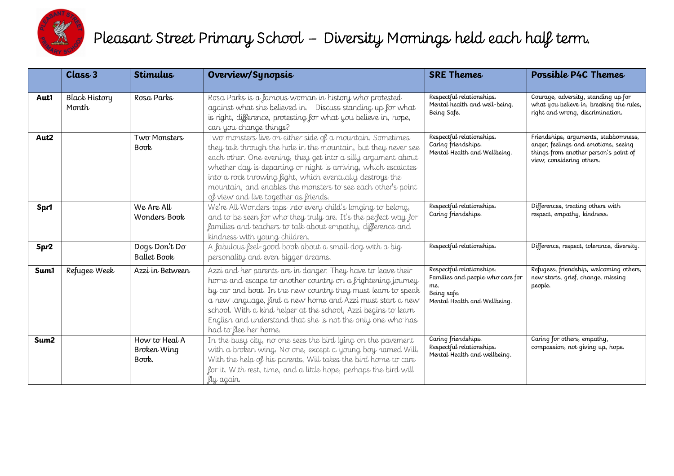

|                  | Class <sub>3</sub>            | <b>Stimulus</b>                       | Overview/Synopsis                                                                                                                                                                                                                                                                                                                                                                                                                    | <b>SRE Themes</b>                                                                                                   | Possible P4C Themes                                                                                                                                 |
|------------------|-------------------------------|---------------------------------------|--------------------------------------------------------------------------------------------------------------------------------------------------------------------------------------------------------------------------------------------------------------------------------------------------------------------------------------------------------------------------------------------------------------------------------------|---------------------------------------------------------------------------------------------------------------------|-----------------------------------------------------------------------------------------------------------------------------------------------------|
| <b>Aut1</b>      | <b>Black History</b><br>Month | Rosa Parks                            | Rosa Parks is a famous woman in history who protested<br>against what she believed in. Discuss standing up for what<br>is right, difference, protesting for what you believe in, hope,<br>can you change things?                                                                                                                                                                                                                     | Respectful relationships.<br>Mental health and well-being.<br>Being Safe.                                           | Courage, adversity, standing up for<br>what you believe in, breaking the rules,<br>right and wrong, discrimination.                                 |
| Aut <sub>2</sub> |                               | Two Monsters<br><b>Book</b>           | Two monsters live on either side of a mountain. Sometimes<br>they talk through the hole in the mountain, but they never see<br>each other. One evening, they get into a silly argument about<br>whether day is departing or night is arriving, which escalates<br>into a rock throwing fight, which eventually destroys the<br>mountain, and enables the monsters to see each other's point<br>of view and live together as friends. | Respectful relationships.<br>Caring friendships.<br>Mental Health and Wellbeing.                                    | Friendships, arguments, stubbornness,<br>anger, feelings and emotions, seeing<br>things from another person's point of<br>view, considering others. |
| Spr1             |                               | We Are All<br>Wonders Book            | We're All Wonders taps into every child's longing to belong,<br>and to be seen for who they truly are. It's the perfect way for<br>families and teachers to talk about empathy, difference and<br>kindness with young children.                                                                                                                                                                                                      | Respectful relationships.<br>Caring friendships.                                                                    | Differences, treating others with<br>respect, empathy, kindness.                                                                                    |
| Spr2             |                               | Dogs Don't Do<br><b>Ballet Book</b>   | A fabulous feel-good book about a small dog with a big<br>personality and even bigger dreams.                                                                                                                                                                                                                                                                                                                                        | Respectful relationships.                                                                                           | Difference, respect, tolerance, diversity.                                                                                                          |
| Sum1             | Refugee Week                  | Azzi in Between                       | Azzi and her parents are in danger. They have to leave their<br>home and escape to another country on a frightening journey<br>by car and boat. In the new country they must learn to speak<br>a new language, find a new home and Azzi must start a new<br>school. With a kind helper at the school, Azzi begins to learn<br>English and understand that she is not the only one who has<br>had to flee her home.                   | Respectful relationships.<br>Families and people who care for<br>me.<br>Being safe.<br>Mental Health and Wellbeing. | Refugees, friendship, welcoming others,<br>new starts, grief, change, missing<br>people.                                                            |
| Sum <sub>2</sub> |                               | How to Heal A<br>Broken Wing<br>Book. | In the busy city, no one sees the bird lying on the pavement<br>with a broken wing. No one, except a young boy named Will.<br>With the help of his parents, Will takes the bird home to care<br>for it. With rest, time, and a little hope, perhaps the bird will<br>fly again.                                                                                                                                                      | Caring friendships.<br>Respectful relationships.<br>Mental Health and wellbeing.                                    | Caring for others, empathy,<br>compassion, not giving up, hope.                                                                                     |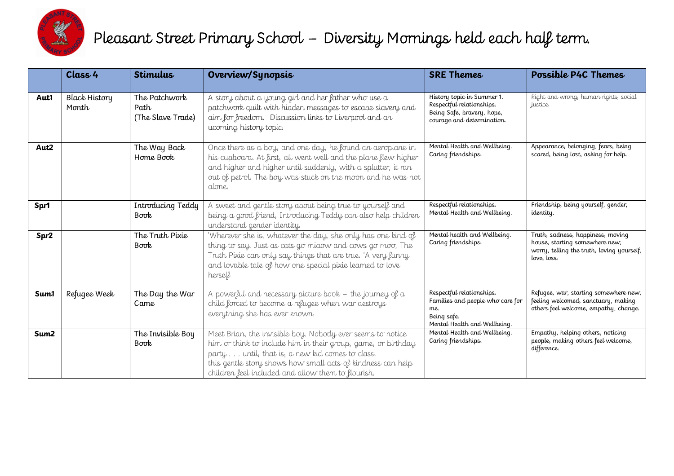

|                  | Class <sub>4</sub>            | <b>Stimulus</b>                             | Overview/Synopsis                                                                                                                                                                                                                                                                                   | <b>SRE Themes</b>                                                                                                   | Possible P4C Themes                                                                                                              |
|------------------|-------------------------------|---------------------------------------------|-----------------------------------------------------------------------------------------------------------------------------------------------------------------------------------------------------------------------------------------------------------------------------------------------------|---------------------------------------------------------------------------------------------------------------------|----------------------------------------------------------------------------------------------------------------------------------|
| <b>Aut1</b>      | <b>Black History</b><br>Month | The Patchwork<br>Path,<br>(The Slave Trade) | A story about a young girl and her father who use a<br>patchwork quilt with hidden messages to escape slavery and<br>aim for freedom. Discussion links to Liverpool and an<br>ucoming history topic.                                                                                                | History topic in Summer 1.<br>Respectful relationships.<br>Being Safe, bravery, hope,<br>courage and determination. | Right and wrong, human rights, social<br>justice.                                                                                |
| Aut <sub>2</sub> |                               | The Way Back<br>Home Book                   | Once there as a boy, and one day, he found an aeroplane in<br>his cupboard. At first, all went well and the plane flew higher<br>and higher and higher until suddenly, with a splutter, it ran<br>out of petrol. The boy was stuck on the moon and he was not<br>alone.                             | Mental Health and Wellbeing.<br>Caring friendships.                                                                 | Appearance, belonging, fears, being<br>scared, being lost, asking for help.                                                      |
| Spr1             |                               | Introducing Teddy<br>Book                   | A sweet and gentle story about being true to yourself and<br>being a good friend, Introducing Teddy can also help children<br>understand gender identity.                                                                                                                                           | Respectful relationships.<br>Mental Health and Wellbeing.                                                           | Friendship, being yourself, gender,<br>identity.                                                                                 |
| Spr2             |                               | The Truth Pixie<br>Book                     | 'Wherever she is, whatever the day, she only has one kind of<br>thing to say. Just as cats go miaow and cows go moo, The<br>Truth Pixie can only say things that are true. 'A very funny<br>and lovable tale of how one special pixie learned to love<br>herself                                    | Mental health and Wellbeing.<br>Caring friendships.                                                                 | Truth, sadness, happiness, moving<br>house, starting somewhere new,<br>worry, telling the truth, loving yourself,<br>love, loss. |
| Sum1             | Refugee Week                  | The Day the War<br>Came                     | A powerful and necessary picture book $-$ the journey of $a$<br>child forced to become a refugee when war destroys<br>everything she has ever known.                                                                                                                                                | Respectful relationships.<br>Families and people who care for<br>me.<br>Being safe.<br>Mental Health and Wellbeing. | Refugee, war, starting somewhere new,<br>feeling welcomed, sanctuary, making<br>others feel welcome, empathy, change.            |
| Sum <sub>2</sub> |                               | The Invisible Boy<br>Book                   | Meet Brian, the invisible boy. Nobody ever seems to notice<br>him or think to include him in their group, game, or birthday<br>party until, that is, a new kid comes to class.<br>this gentle story shows how small acts of kindness can help<br>children feel included and allow them to flourish. | Mental Health and Wellbeing.<br>Caring friendships.                                                                 | Empathy, helping others, noticing<br>people, making others feel welcome,<br>difference.                                          |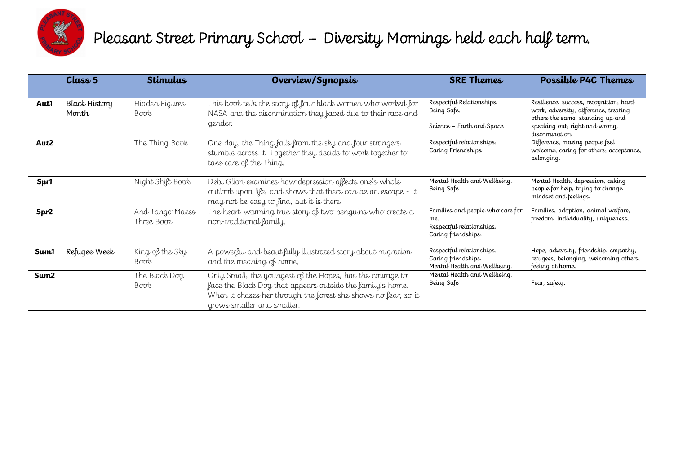

|                  | Class <sub>5</sub>             | <b>Stimulus</b>               | Overview/Synopsis                                                                                                                                                                                                       | <b>SRE Themes</b>                                                                           | Possible P4C Themes                                                                                                                                                      |
|------------------|--------------------------------|-------------------------------|-------------------------------------------------------------------------------------------------------------------------------------------------------------------------------------------------------------------------|---------------------------------------------------------------------------------------------|--------------------------------------------------------------------------------------------------------------------------------------------------------------------------|
| <b>Aut1</b>      | <b>Black History</b><br>Month, | Hidden Figures<br>Book,       | This book tells the story of four black women who worked for<br>NASA and the discrimination they faced due to their race and<br>gender.                                                                                 | Respectful Relationships<br>Being Safe.<br>Science - Earth and Space                        | Resilience, success, recognition, hard<br>work, adversity, difference, treating<br>others the same, standing up and<br>speaking out, right and wrong,<br>discrimination. |
| Aut <sub>2</sub> |                                | The Thing Book                | One day, the Thing falls from the sky and four strangers<br>stumble across it. Together they decide to work together to<br>take care of the Thing.                                                                      | Respectful relationships.<br>Caring Friendships                                             | Difference, making people feel<br>welcome, caring for others, acceptance,<br>belonging.                                                                                  |
| Spr1             |                                | Night Shift Book              | Debi Gliori examines how depression affects one's whole<br>outlook upon life, and shows that there can be an escape - it<br>may not be easy to find, but it is there.                                                   | Mental Health and Wellbeing.<br>Being Safe                                                  | Mental Health, depression, asking<br>people for help, trying to change<br>mindset and feelings.                                                                          |
| Spr2             |                                | And Tango Makes<br>Three Book | The heart-warming true story of two penguins who create a<br>non-traditional family.                                                                                                                                    | Families and people who care for<br>me.<br>Respectful relationships.<br>Caring friendships. | Families, adoption, animal welfare,<br>freedom, individuality, uniqueness.                                                                                               |
| Sum1             | Refugee Week                   | King of the Sky<br>Book       | A powerful and beautifully illustrated story about migration<br>and the meaning of home,                                                                                                                                | Respectful relationships.<br>Caring friendships.<br>Mental Health and Wellbeing.            | Hope, adversity, friendship, empathy,<br>refugees, belonging, welcoming others,<br>feeling at home.                                                                      |
| Sum <sub>2</sub> |                                | The Black Dog<br>Book         | Only Small, the youngest of the Hopes, has the courage to<br>face the Black Dog that appears outside the family's home.<br>When it chases her through the forest she shows no fear, so it<br>grows smaller and smaller. | Mental Health and Wellbeing.<br>Being Safe                                                  | Fear, safety.                                                                                                                                                            |